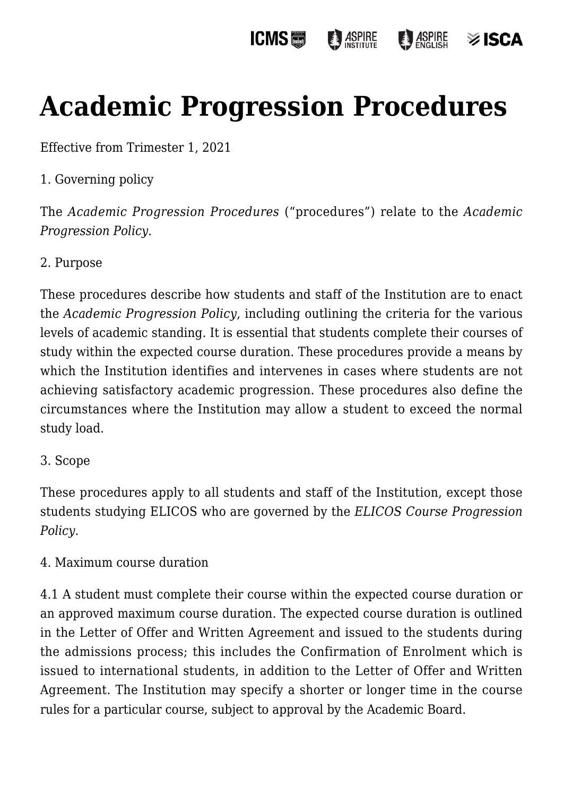#### **ICMS**圖 **ASPIRE ASPIRE** ≫ ISCA

# **[Academic Progression Procedures](https://policies.icms.edu.au/academic-progression-procedures/)**

Effective from Trimester 1, 2021

## 1. Governing policy

The *Academic Progression Procedures* ("procedures") relate to the *Academic Progression Policy*.

### 2. Purpose

These procedures describe how students and staff of the Institution are to enact the *Academic Progression Policy*, including outlining the criteria for the various levels of academic standing. It is essential that students complete their courses of study within the expected course duration. These procedures provide a means by which the Institution identifies and intervenes in cases where students are not achieving satisfactory academic progression. These procedures also define the circumstances where the Institution may allow a student to exceed the normal study load.

### 3. Scope

These procedures apply to all students and staff of the Institution, except those students studying ELICOS who are governed by the *ELICOS Course Progression Policy*.

### 4. Maximum course duration

4.1 A student must complete their course within the expected course duration or an approved maximum course duration. The expected course duration is outlined in the Letter of Offer and Written Agreement and issued to the students during the admissions process; this includes the Confirmation of Enrolment which is issued to international students, in addition to the Letter of Offer and Written Agreement. The Institution may specify a shorter or longer time in the course rules for a particular course, subject to approval by the Academic Board.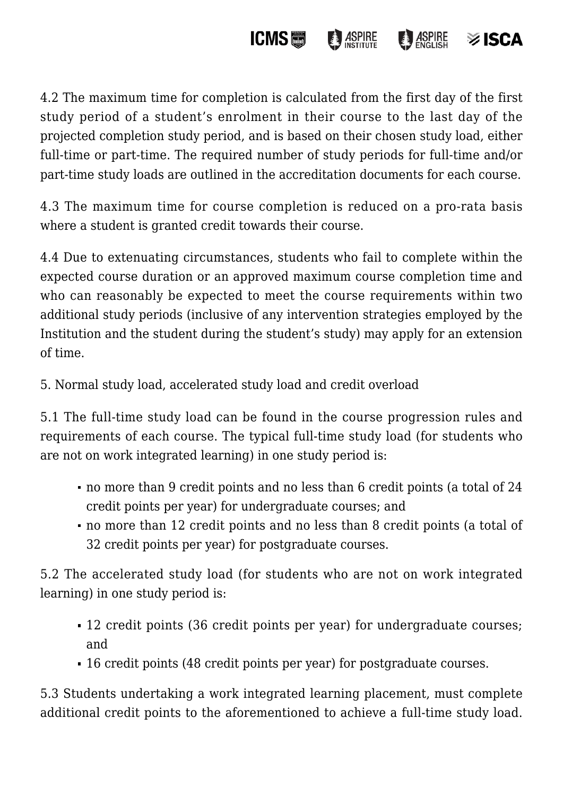

4.2 The maximum time for completion is calculated from the first day of the first study period of a student's enrolment in their course to the last day of the projected completion study period, and is based on their chosen study load, either full-time or part-time. The required number of study periods for full-time and/or part-time study loads are outlined in the accreditation documents for each course.

4.3 The maximum time for course completion is reduced on a pro-rata basis where a student is granted credit towards their course.

4.4 Due to extenuating circumstances, students who fail to complete within the expected course duration or an approved maximum course completion time and who can reasonably be expected to meet the course requirements within two additional study periods (inclusive of any intervention strategies employed by the Institution and the student during the student's study) may apply for an extension of time.

5. Normal study load, accelerated study load and credit overload

5.1 The full-time study load can be found in the course progression rules and requirements of each course. The typical full-time study load (for students who are not on work integrated learning) in one study period is:

- no more than 9 credit points and no less than 6 credit points (a total of 24 credit points per year) for undergraduate courses; and
- no more than 12 credit points and no less than 8 credit points (a total of 32 credit points per year) for postgraduate courses.

5.2 The accelerated study load (for students who are not on work integrated learning) in one study period is:

- 12 credit points (36 credit points per year) for undergraduate courses; and
- 16 credit points (48 credit points per year) for postgraduate courses.

5.3 Students undertaking a work integrated learning placement, must complete additional credit points to the aforementioned to achieve a full-time study load.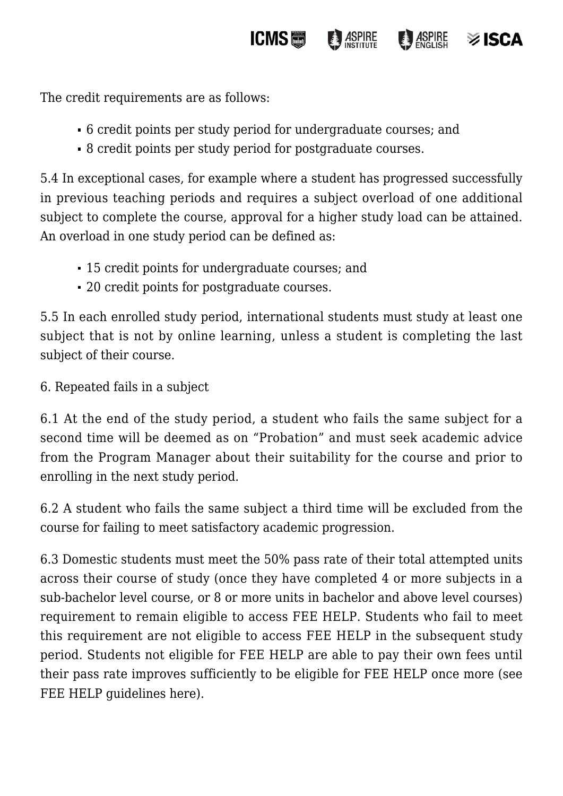The credit requirements are as follows:

6 credit points per study period for undergraduate courses; and

**ICMS** 

**ASPIRE** 

**ASPIRE** 

≫ ISCA

8 credit points per study period for postgraduate courses.

5.4 In exceptional cases, for example where a student has progressed successfully in previous teaching periods and requires a subject overload of one additional subject to complete the course, approval for a higher study load can be attained. An overload in one study period can be defined as:

- 15 credit points for undergraduate courses; and
- 20 credit points for postgraduate courses.

5.5 In each enrolled study period, international students must study at least one subject that is not by online learning, unless a student is completing the last subject of their course.

6. Repeated fails in a subject

6.1 At the end of the study period, a student who fails the same subject for a second time will be deemed as on "Probation" and must seek academic advice from the Program Manager about their suitability for the course and prior to enrolling in the next study period.

6.2 A student who fails the same subject a third time will be excluded from the course for failing to meet satisfactory academic progression.

6.3 Domestic students must meet the 50% pass rate of their total attempted units across their course of study (once they have completed 4 or more subjects in a sub-bachelor level course, or 8 or more units in bachelor and above level courses) requirement to remain eligible to access FEE HELP. Students who fail to meet this requirement are not eligible to access FEE HELP in the subsequent study period. Students not eligible for FEE HELP are able to pay their own fees until their pass rate improves sufficiently to be eligible for FEE HELP once more (see FEE HELP guidelines here).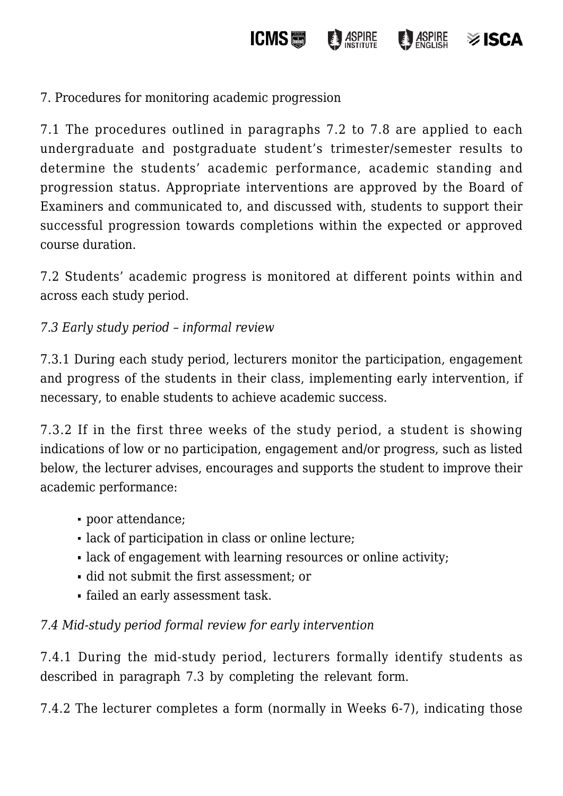**ICMS**圖 ASPIRE  $\frac{1}{2}$  ASPIRE  $\otimes$  ISCA

7. Procedures for monitoring academic progression

7.1 The procedures outlined in paragraphs 7.2 to 7.8 are applied to each undergraduate and postgraduate student's trimester/semester results to determine the students' academic performance, academic standing and progression status. Appropriate interventions are approved by the Board of Examiners and communicated to, and discussed with, students to support their successful progression towards completions within the expected or approved course duration.

7.2 Students' academic progress is monitored at different points within and across each study period.

*7.3 Early study period – informal review*

7.3.1 During each study period, lecturers monitor the participation, engagement and progress of the students in their class, implementing early intervention, if necessary, to enable students to achieve academic success.

7.3.2 If in the first three weeks of the study period, a student is showing indications of low or no participation, engagement and/or progress, such as listed below, the lecturer advises, encourages and supports the student to improve their academic performance:

- poor attendance;
- lack of participation in class or online lecture;
- lack of engagement with learning resources or online activity;
- did not submit the first assessment; or
- failed an early assessment task.

# *7.4 Mid-study period formal review for early intervention*

7.4.1 During the mid-study period, lecturers formally identify students as described in paragraph 7.3 by completing the relevant form.

7.4.2 The lecturer completes a form (normally in Weeks 6-7), indicating those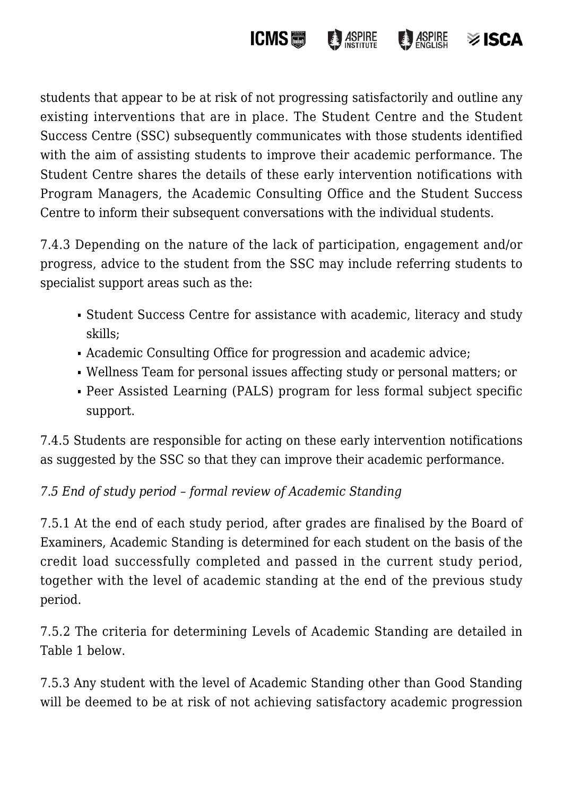

students that appear to be at risk of not progressing satisfactorily and outline any existing interventions that are in place. The Student Centre and the Student Success Centre (SSC) subsequently communicates with those students identified with the aim of assisting students to improve their academic performance. The Student Centre shares the details of these early intervention notifications with Program Managers, the Academic Consulting Office and the Student Success Centre to inform their subsequent conversations with the individual students.

7.4.3 Depending on the nature of the lack of participation, engagement and/or progress, advice to the student from the SSC may include referring students to specialist support areas such as the:

- Student Success Centre for assistance with academic, literacy and study skills;
- Academic Consulting Office for progression and academic advice;
- Wellness Team for personal issues affecting study or personal matters; or
- Peer Assisted Learning (PALS) program for less formal subject specific support.

7.4.5 Students are responsible for acting on these early intervention notifications as suggested by the SSC so that they can improve their academic performance.

# *7.5 End of study period – formal review of Academic Standing*

7.5.1 At the end of each study period, after grades are finalised by the Board of Examiners, Academic Standing is determined for each student on the basis of the credit load successfully completed and passed in the current study period, together with the level of academic standing at the end of the previous study period.

7.5.2 The criteria for determining Levels of Academic Standing are detailed in Table 1 below.

7.5.3 Any student with the level of Academic Standing other than Good Standing will be deemed to be at risk of not achieving satisfactory academic progression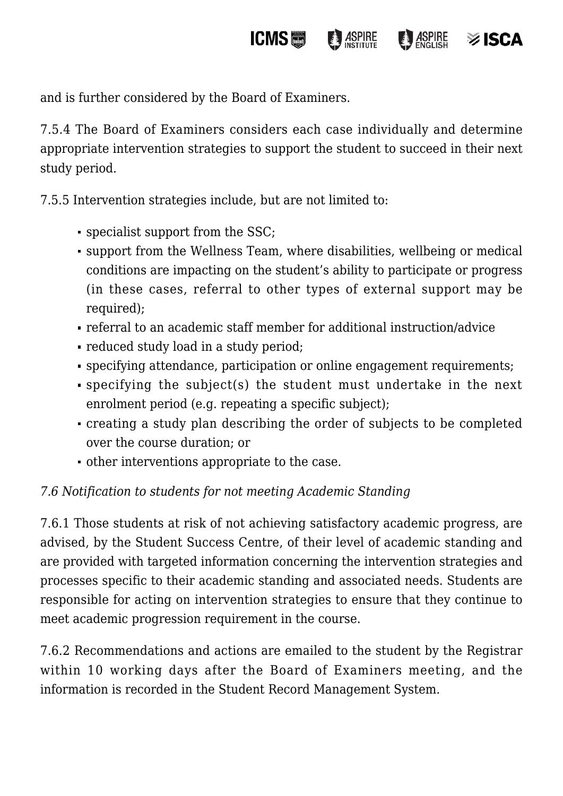and is further considered by the Board of Examiners.

7.5.4 The Board of Examiners considers each case individually and determine appropriate intervention strategies to support the student to succeed in their next study period.

**ICMS圖** 

**ASPIRE** 

 $\frac{1}{2}$  ASPIRE

 $\frac{1}{2}$  ISCA

7.5.5 Intervention strategies include, but are not limited to:

- specialist support from the SSC;
- support from the Wellness Team, where disabilities, wellbeing or medical conditions are impacting on the student's ability to participate or progress (in these cases, referral to other types of external support may be required);
- referral to an academic staff member for additional instruction/advice
- reduced study load in a study period;
- specifying attendance, participation or online engagement requirements;
- specifying the subject(s) the student must undertake in the next enrolment period (e.g. repeating a specific subject);
- creating a study plan describing the order of subjects to be completed over the course duration; or
- other interventions appropriate to the case.

# *7.6 Notification to students for not meeting Academic Standing*

7.6.1 Those students at risk of not achieving satisfactory academic progress, are advised, by the Student Success Centre, of their level of academic standing and are provided with targeted information concerning the intervention strategies and processes specific to their academic standing and associated needs. Students are responsible for acting on intervention strategies to ensure that they continue to meet academic progression requirement in the course.

7.6.2 Recommendations and actions are emailed to the student by the Registrar within 10 working days after the Board of Examiners meeting, and the information is recorded in the Student Record Management System.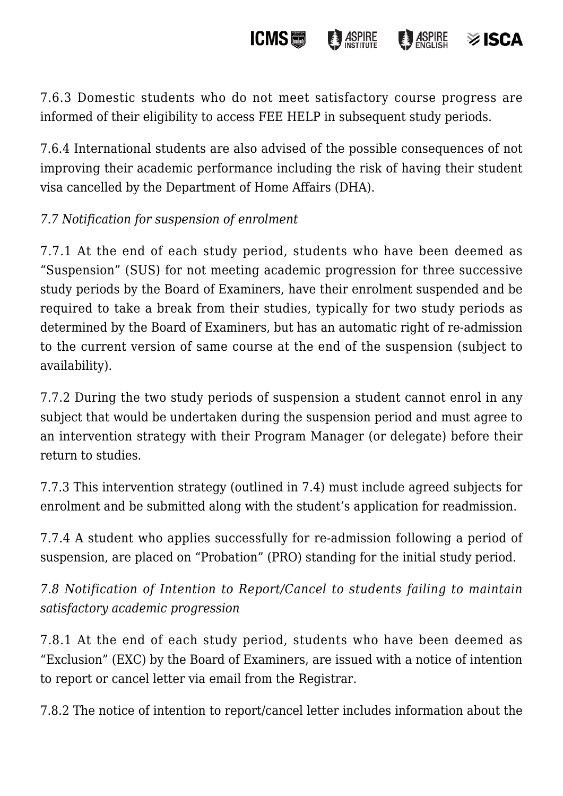#### **ICMS ASPIRE**  $\frac{1}{2}$  ASPIRE  $\otimes$  ISCA

7.6.3 Domestic students who do not meet satisfactory course progress are informed of their eligibility to access FEE HELP in subsequent study periods.

7.6.4 International students are also advised of the possible consequences of not improving their academic performance including the risk of having their student visa cancelled by the Department of Home Affairs (DHA).

## *7.7 Notification for suspension of enrolment*

7.7.1 At the end of each study period, students who have been deemed as "Suspension" (SUS) for not meeting academic progression for three successive study periods by the Board of Examiners, have their enrolment suspended and be required to take a break from their studies, typically for two study periods as determined by the Board of Examiners, but has an automatic right of re-admission to the current version of same course at the end of the suspension (subject to availability).

7.7.2 During the two study periods of suspension a student cannot enrol in any subject that would be undertaken during the suspension period and must agree to an intervention strategy with their Program Manager (or delegate) before their return to studies.

7.7.3 This intervention strategy (outlined in 7.4) must include agreed subjects for enrolment and be submitted along with the student's application for readmission.

7.7.4 A student who applies successfully for re-admission following a period of suspension, are placed on "Probation" (PRO) standing for the initial study period.

*7.8 Notification of Intention to Report/Cancel to students failing to maintain satisfactory academic progression*

7.8.1 At the end of each study period, students who have been deemed as "Exclusion" (EXC) by the Board of Examiners, are issued with a notice of intention to report or cancel letter via email from the Registrar.

7.8.2 The notice of intention to report/cancel letter includes information about the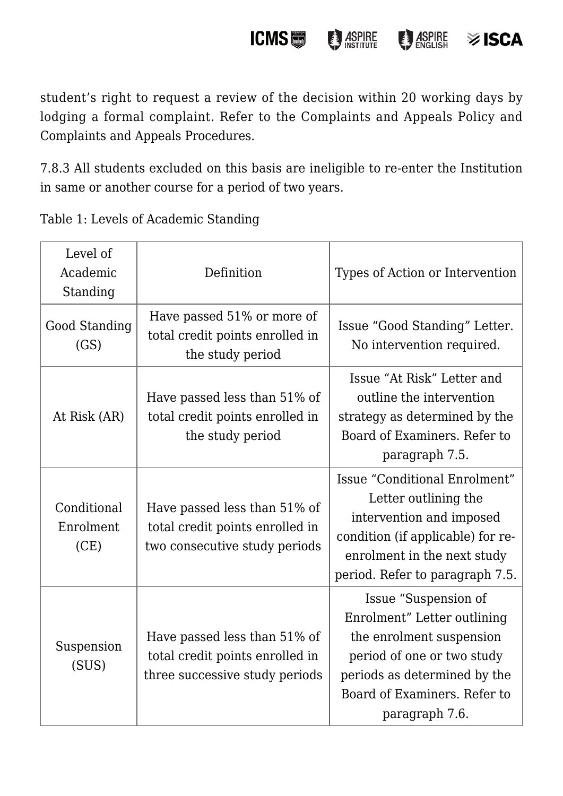student's right to request a review of the decision within 20 working days by lodging a formal complaint. Refer to the Complaints and Appeals Policy and Complaints and Appeals Procedures.

**ICMS**圖

**ASPIRE** 

**B** ASPIRE

 $\frac{1}{2}$  ISCA

7.8.3 All students excluded on this basis are ineligible to re-enter the Institution in same or another course for a period of two years.

Table 1: Levels of Academic Standing

| Level of<br>Academic<br>Standing | Definition                                                                                        | Types of Action or Intervention                                                                                                                                                                 |
|----------------------------------|---------------------------------------------------------------------------------------------------|-------------------------------------------------------------------------------------------------------------------------------------------------------------------------------------------------|
| Good Standing<br>(GS)            | Have passed 51% or more of<br>total credit points enrolled in<br>the study period                 | Issue "Good Standing" Letter.<br>No intervention required.                                                                                                                                      |
| At Risk (AR)                     | Have passed less than 51% of<br>total credit points enrolled in<br>the study period               | Issue "At Risk" Letter and<br>outline the intervention<br>strategy as determined by the<br>Board of Examiners. Refer to<br>paragraph 7.5.                                                       |
| Conditional<br>Enrolment<br>(CE) | Have passed less than 51% of<br>total credit points enrolled in<br>two consecutive study periods  | Issue "Conditional Enrolment"<br>Letter outlining the<br>intervention and imposed<br>condition (if applicable) for re-<br>enrolment in the next study<br>period. Refer to paragraph 7.5.        |
| Suspension<br>(SUS)              | Have passed less than 51% of<br>total credit points enrolled in<br>three successive study periods | Issue "Suspension of<br>Enrolment" Letter outlining<br>the enrolment suspension<br>period of one or two study<br>periods as determined by the<br>Board of Examiners. Refer to<br>paragraph 7.6. |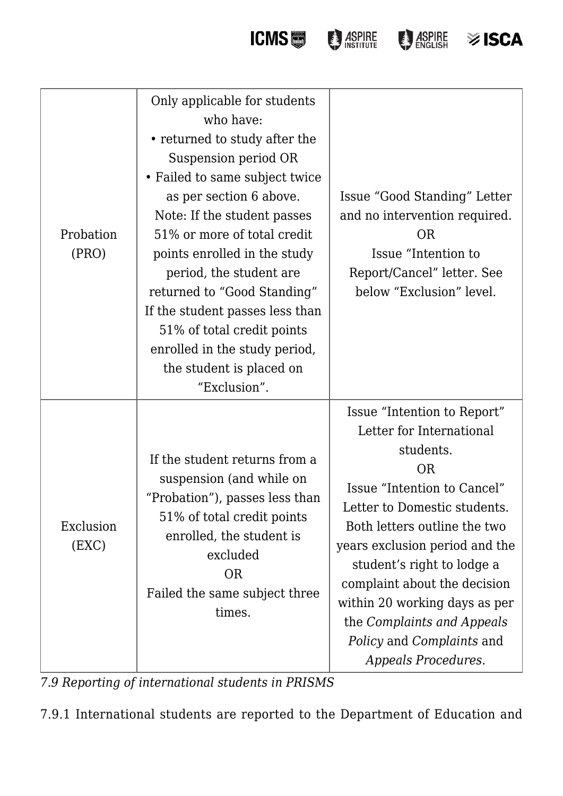**ICMS DESCRIPTION DESCRIPTION OF STREET SO ISCA** 

| Probation<br>(PRO) | Only applicable for students<br>who have:<br>• returned to study after the<br>Suspension period OR<br>• Failed to same subject twice<br>as per section 6 above.<br>Note: If the student passes<br>51% or more of total credit<br>points enrolled in the study<br>period, the student are<br>returned to "Good Standing"<br>If the student passes less than<br>51% of total credit points<br>enrolled in the study period,<br>the student is placed on<br>"Exclusion". | Issue "Good Standing" Letter<br>and no intervention required.<br><b>OR</b><br>Issue "Intention to<br>Report/Cancel" letter. See<br>below "Exclusion" level.                                                                                                                                                                                                                                                       |
|--------------------|-----------------------------------------------------------------------------------------------------------------------------------------------------------------------------------------------------------------------------------------------------------------------------------------------------------------------------------------------------------------------------------------------------------------------------------------------------------------------|-------------------------------------------------------------------------------------------------------------------------------------------------------------------------------------------------------------------------------------------------------------------------------------------------------------------------------------------------------------------------------------------------------------------|
| Exclusion<br>(EXC) | If the student returns from a<br>suspension (and while on<br>"Probation"), passes less than<br>51% of total credit points<br>enrolled, the student is<br>excluded<br><b>OR</b><br>Failed the same subject three<br>times.                                                                                                                                                                                                                                             | Issue "Intention to Report"<br>Letter for International<br>students.<br><b>OR</b><br>Issue "Intention to Cancel"<br>Letter to Domestic students.<br>Both letters outline the two<br>years exclusion period and the<br>student's right to lodge a<br>complaint about the decision<br>within 20 working days as per<br>the Complaints and Appeals<br><i>Policy</i> and <i>Complaints</i> and<br>Appeals Procedures. |

*7.9 Reporting of international students in PRISMS*

7.9.1 International students are reported to the Department of Education and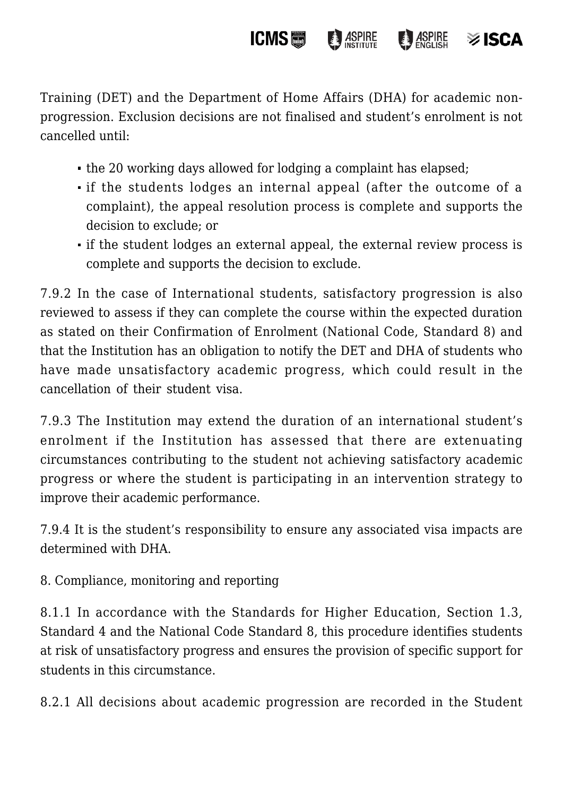Training (DET) and the Department of Home Affairs (DHA) for academic nonprogression. Exclusion decisions are not finalised and student's enrolment is not cancelled until:

**ICMS圖** 

**ASPIRE** 

 $\frac{1}{2}$  ASPIRE

 $\otimes$  ISCA

- the 20 working days allowed for lodging a complaint has elapsed;
- if the students lodges an internal appeal (after the outcome of a complaint), the appeal resolution process is complete and supports the decision to exclude; or
- if the student lodges an external appeal, the external review process is complete and supports the decision to exclude.

7.9.2 In the case of International students, satisfactory progression is also reviewed to assess if they can complete the course within the expected duration as stated on their Confirmation of Enrolment (National Code, Standard 8) and that the Institution has an obligation to notify the DET and DHA of students who have made unsatisfactory academic progress, which could result in the cancellation of their student visa.

7.9.3 The Institution may extend the duration of an international student's enrolment if the Institution has assessed that there are extenuating circumstances contributing to the student not achieving satisfactory academic progress or where the student is participating in an intervention strategy to improve their academic performance.

7.9.4 It is the student's responsibility to ensure any associated visa impacts are determined with DHA.

8. Compliance, monitoring and reporting

8.1.1 In accordance with the Standards for Higher Education, Section 1.3, Standard 4 and the National Code Standard 8, this procedure identifies students at risk of unsatisfactory progress and ensures the provision of specific support for students in this circumstance.

8.2.1 All decisions about academic progression are recorded in the Student